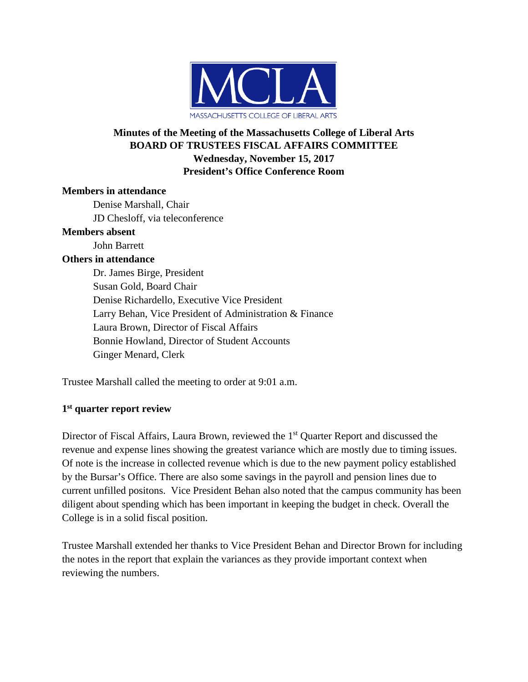

## **Minutes of the Meeting of the Massachusetts College of Liberal Arts BOARD OF TRUSTEES FISCAL AFFAIRS COMMITTEE Wednesday, November 15, 2017 President's Office Conference Room**

### **Members in attendance**

Denise Marshall, Chair JD Chesloff, via teleconference

### **Members absent**

John Barrett

## **Others in attendance**

Dr. James Birge, President Susan Gold, Board Chair Denise Richardello, Executive Vice President Larry Behan, Vice President of Administration & Finance Laura Brown, Director of Fiscal Affairs Bonnie Howland, Director of Student Accounts Ginger Menard, Clerk

Trustee Marshall called the meeting to order at 9:01 a.m.

# **1st quarter report review**

Director of Fiscal Affairs, Laura Brown, reviewed the 1<sup>st</sup> Quarter Report and discussed the revenue and expense lines showing the greatest variance which are mostly due to timing issues. Of note is the increase in collected revenue which is due to the new payment policy established by the Bursar's Office. There are also some savings in the payroll and pension lines due to current unfilled positons. Vice President Behan also noted that the campus community has been diligent about spending which has been important in keeping the budget in check. Overall the College is in a solid fiscal position.

Trustee Marshall extended her thanks to Vice President Behan and Director Brown for including the notes in the report that explain the variances as they provide important context when reviewing the numbers.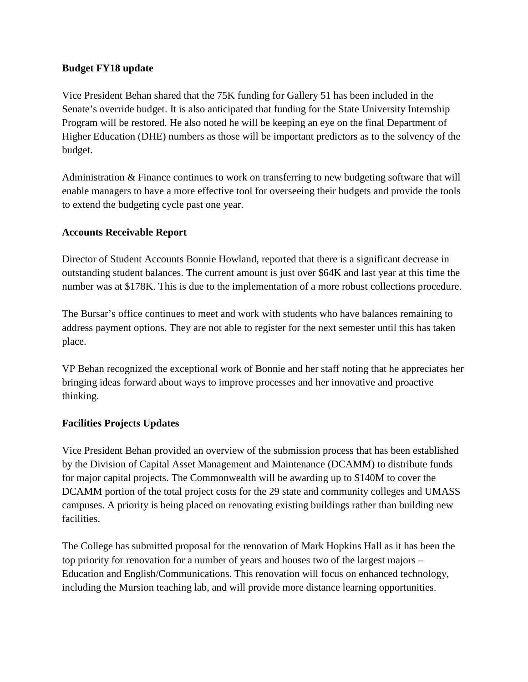### **Budget FY18 update**

Vice President Behan shared that the 75K funding for Gallery 51 has been included in the Senate's override budget. It is also anticipated that funding for the State University Internship Program will be restored. He also noted he will be keeping an eye on the final Department of Higher Education (DHE) numbers as those will be important predictors as to the solvency of the budget.

Administration & Finance continues to work on transferring to new budgeting software that will enable managers to have a more effective tool for overseeing their budgets and provide the tools to extend the budgeting cycle past one year.

### **Accounts Receivable Report**

Director of Student Accounts Bonnie Howland, reported that there is a significant decrease in outstanding student balances. The current amount is just over \$64K and last year at this time the number was at \$178K. This is due to the implementation of a more robust collections procedure.

The Bursar's office continues to meet and work with students who have balances remaining to address payment options. They are not able to register for the next semester until this has taken place.

VP Behan recognized the exceptional work of Bonnie and her staff noting that he appreciates her bringing ideas forward about ways to improve processes and her innovative and proactive thinking.

## **Facilities Projects Updates**

Vice President Behan provided an overview of the submission process that has been established by the Division of Capital Asset Management and Maintenance (DCAMM) to distribute funds for major capital projects. The Commonwealth will be awarding up to \$140M to cover the DCAMM portion of the total project costs for the 29 state and community colleges and UMASS campuses. A priority is being placed on renovating existing buildings rather than building new facilities.

The College has submitted proposal for the renovation of Mark Hopkins Hall as it has been the top priority for renovation for a number of years and houses two of the largest majors – Education and English/Communications. This renovation will focus on enhanced technology, including the Mursion teaching lab, and will provide more distance learning opportunities.